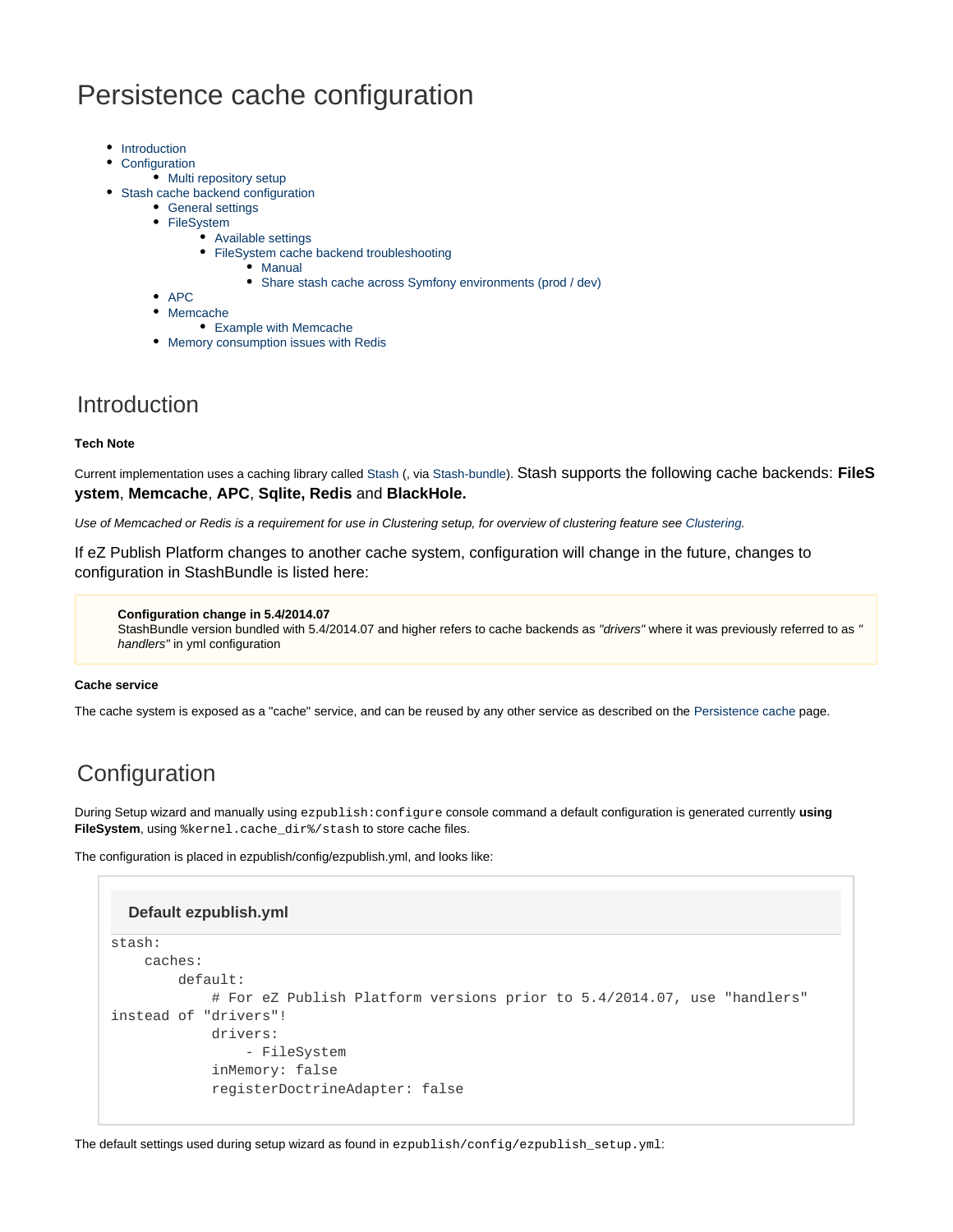# Persistence cache configuration

- [Introduction](#page-0-0)
- **[Configuration](#page-0-1)**
- [Multi repository setup](#page-1-0)
- [Stash cache backend configuration](#page-1-1)
	- [General settings](#page-1-2)
	- [FileSystem](#page-1-3)
		- [Available settings](#page-2-0)
		- [FileSystem cache backend troubleshooting](#page-2-1) • [Manual](#page-2-2)
		-
- [Share stash cache across Symfony environments \(prod / dev\)](#page-3-0)
- $^{\bullet}$  [APC](#page-3-1)
- [Memcache](#page-3-2)
	- [Example with Memcache](#page-4-0)
- [Memory consumption issues with Redis](#page-4-1)

## <span id="page-0-0"></span>Introduction

### **Tech Note**

Current implementation uses a caching library called [Stash](http://stash.tedivm.com/) (, via [Stash-bundle](https://github.com/tedivm/TedivmStashBundle)). Stash supports the following cache backends: **FileS ystem**, **Memcache**, **APC**, **Sqlite, Redis** and **BlackHole.**

Use of Memcached or Redis is a requirement for use in Clustering setup, for overview of clustering feature see [Clustering.](https://doc.ez.no/display/EZP/Clustering)

If eZ Publish Platform changes to another cache system, configuration will change in the future, changes to configuration in StashBundle is listed here:

**Configuration change in 5.4/2014.07**

StashBundle version bundled with 5.4/2014.07 and higher refers to cache backends as "drivers" where it was previously referred to as " handlers" in yml configuration

#### **Cache service**

The cache system is exposed as a "cache" service, and can be reused by any other service as described on the [Persistence cache](https://doc.ez.no/display/EZP/Persistence+cache) page.

## <span id="page-0-1"></span>**Configuration**

During Setup wizard and manually using ezpublish:configure console command a default configuration is generated currently **using FileSystem**, using %kernel.cache\_dir%/stash to store cache files.

The configuration is placed in ezpublish/config/ezpublish.yml, and looks like:

## stash: caches: default: # For eZ Publish Platform versions prior to 5.4/2014.07, use "handlers" instead of "drivers"! drivers: - FileSystem inMemory: false registerDoctrineAdapter: false **Default ezpublish.yml**

The default settings used during setup wizard as found in ezpublish/config/ezpublish\_setup.yml: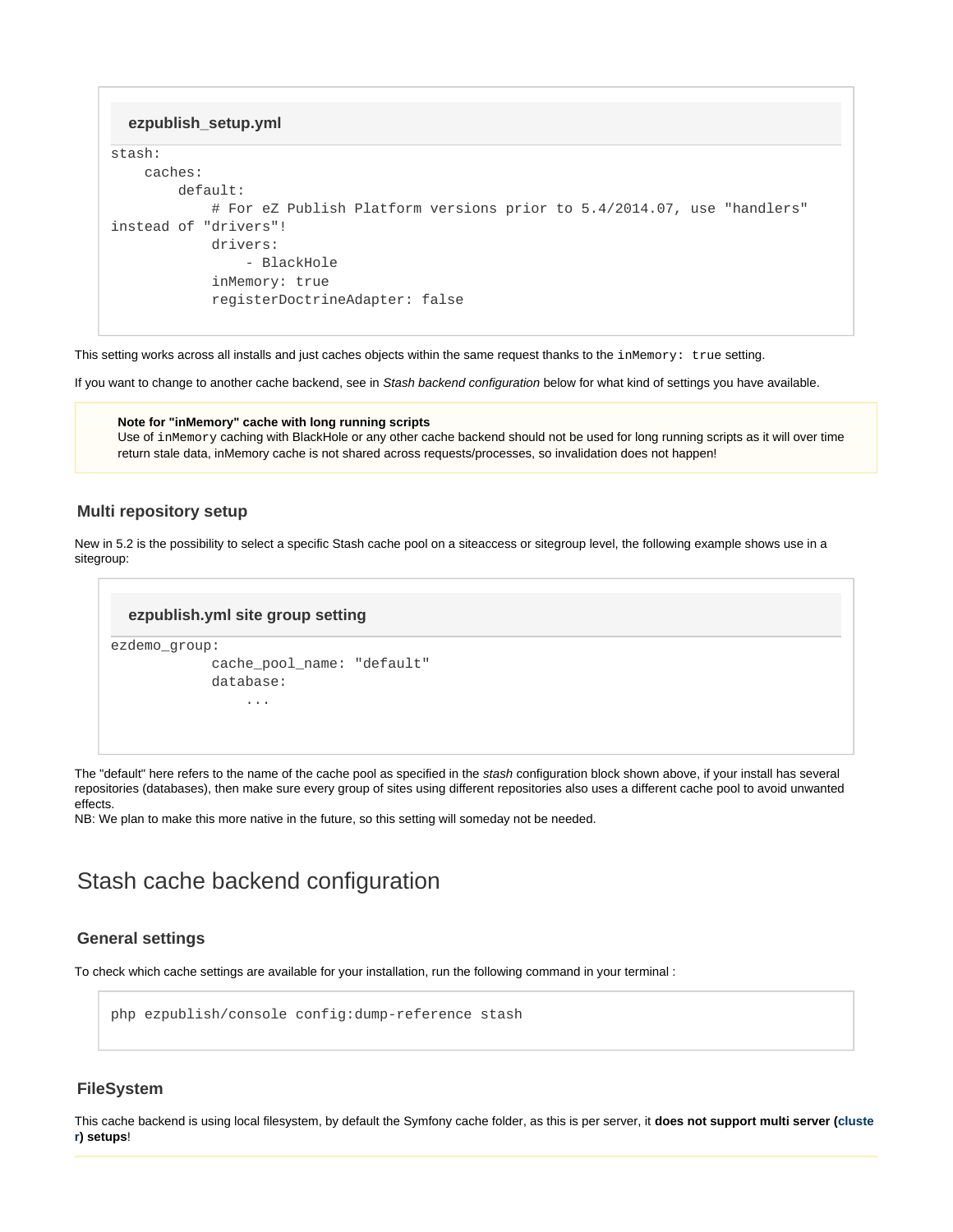```
ezpublish_setup.yml
```

```
stash:
     caches:
         default:
             # For eZ Publish Platform versions prior to 5.4/2014.07, use "handlers"
instead of "drivers"!
             drivers:
                  - BlackHole
             inMemory: true
             registerDoctrineAdapter: false
```
This setting works across all installs and just caches objects within the same request thanks to the  $in$ Memory: true setting.

If you want to change to another cache backend, see in Stash backend configuration below for what kind of settings you have available.

**Note for "inMemory" cache with long running scripts** Use of inMemory caching with BlackHole or any other cache backend should not be used for long running scripts as it will over time return stale data, inMemory cache is not shared across requests/processes, so invalidation does not happen!

## <span id="page-1-0"></span>**Multi repository setup**

New in 5.2 is the possibility to select a specific Stash cache pool on a siteaccess or sitegroup level, the following example shows use in a sitegroup:

### **ezpublish.yml site group setting**

```
ezdemo_group:
              cache_pool_name: "default"
              database:
                   ...
```
The "default" here refers to the name of the cache pool as specified in the stash configuration block shown above, if your install has several repositories (databases), then make sure every group of sites using different repositories also uses a different cache pool to avoid unwanted effects.

NB: We plan to make this more native in the future, so this setting will someday not be needed.

## <span id="page-1-1"></span>Stash cache backend configuration

## <span id="page-1-2"></span>**General settings**

To check which cache settings are available for your installation, run the following command in your terminal :

php ezpublish/console config:dump-reference stash

## <span id="page-1-3"></span>**FileSystem**

This cache backend is using local filesystem, by default the Symfony cache folder, as this is per server, it **does not support multi server ([cluste](https://doc.ez.no/display/EZP/Clustering) [r](https://doc.ez.no/display/EZP/Clustering)) setups**!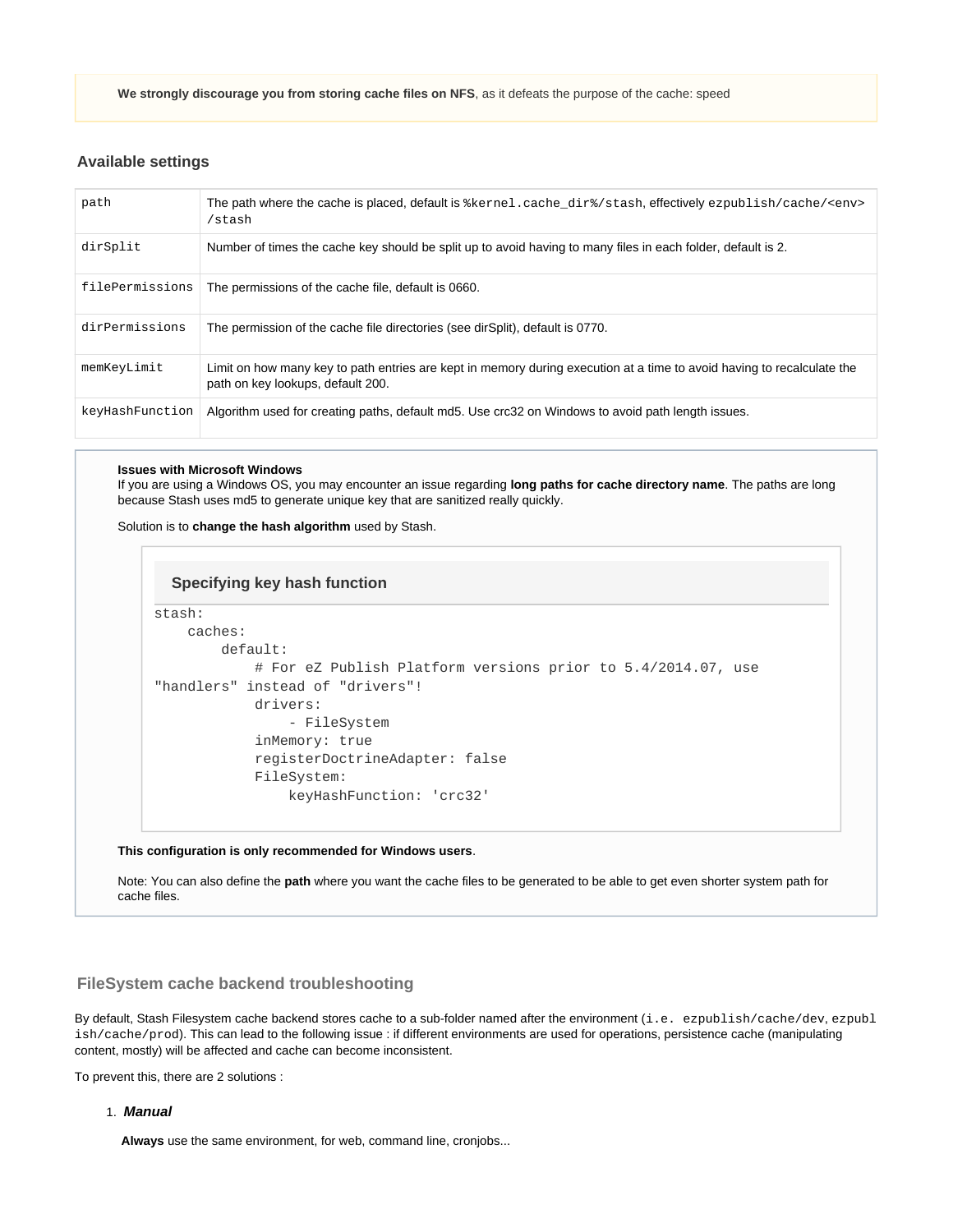**We strongly discourage you from storing cache files on NFS**, as it defeats the purpose of the cache: speed

## <span id="page-2-0"></span>**Available settings**

| path            | The path where the cache is placed, default is *kernel.cache_dir*/stash, effectively ezpublish/cache/ <env><br/>/stash</env>                                |
|-----------------|-------------------------------------------------------------------------------------------------------------------------------------------------------------|
| dirSplit        | Number of times the cache key should be split up to avoid having to many files in each folder, default is 2.                                                |
| filePermissions | The permissions of the cache file, default is 0660.                                                                                                         |
| dirPermissions  | The permission of the cache file directories (see dirSplit), default is 0770.                                                                               |
| memKeyLimit     | Limit on how many key to path entries are kept in memory during execution at a time to avoid having to recalculate the<br>path on key lookups, default 200. |
| keyHashFunction | Algorithm used for creating paths, default md5. Use crc32 on Windows to avoid path length issues.                                                           |

#### **Issues with Microsoft Windows**

If you are using a Windows OS, you may encounter an issue regarding **long paths for cache directory name**. The paths are long because Stash uses md5 to generate unique key that are sanitized really quickly.

Solution is to **change the hash algorithm** used by Stash.

## stash: caches: default: # For eZ Publish Platform versions prior to 5.4/2014.07, use "handlers" instead of "drivers"! drivers: - FileSystem inMemory: true registerDoctrineAdapter: false FileSystem: keyHashFunction: 'crc32' **Specifying key hash function**

#### **This configuration is only recommended for Windows users**.

Note: You can also define the **path** where you want the cache files to be generated to be able to get even shorter system path for cache files.

## <span id="page-2-1"></span>**FileSystem cache backend troubleshooting**

By default, Stash Filesystem cache backend stores cache to a sub-folder named after the environment (i.e. ezpublish/cache/dev, ezpubl ish/cache/prod). This can lead to the following issue : if different environments are used for operations, persistence cache (manipulating content, mostly) will be affected and cache can become inconsistent.

<span id="page-2-2"></span>To prevent this, there are 2 solutions :

1. **Manual**

**Always** use the same environment, for web, command line, cronjobs...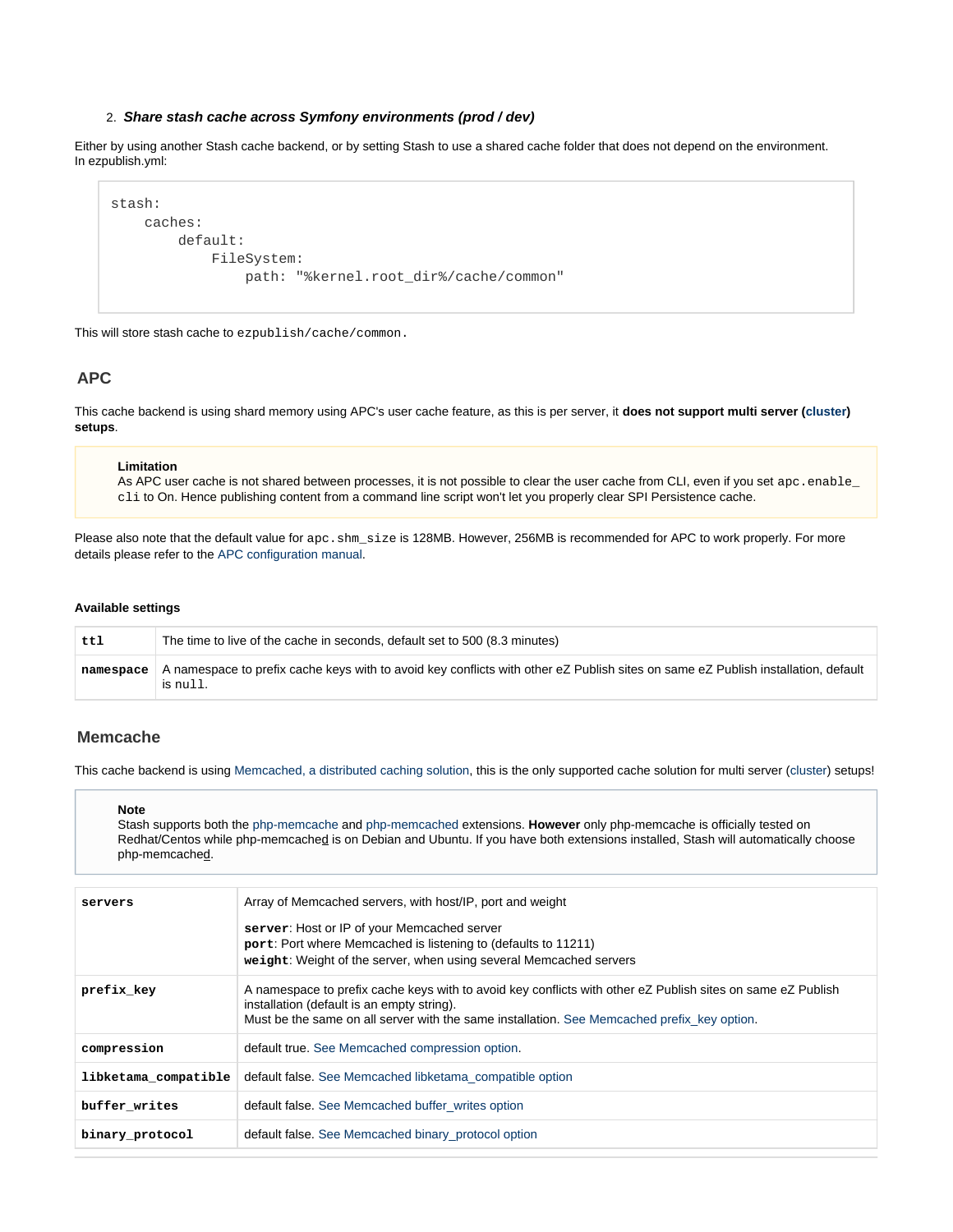#### 2. **Share stash cache across Symfony environments (prod / dev)**

<span id="page-3-0"></span>Either by using another Stash cache backend, or by setting Stash to use a shared cache folder that does not depend on the environment. In ezpublish.yml:

```
stash:
     caches:
         default:
             FileSystem:
                  path: "%kernel.root_dir%/cache/common"
```
This will store stash cache to ezpublish/cache/common.

## <span id="page-3-1"></span>**APC**

This cache backend is using shard memory using APC's user cache feature, as this is per server, it **does not support multi server ([cluster](https://doc.ez.no/display/EZP/Clustering)) setups**.

#### **Limitation**

As APC user cache is not shared between processes, it is not possible to clear the user cache from CLI, even if you set apc. enable\_ cli to On. Hence publishing content from a command line script won't let you properly clear SPI Persistence cache.

Please also note that the default value for apc. shm\_size is 128MB. However, 256MB is recommended for APC to work properly. For more details please refer to the [APC configuration manual.](http://www.php.net/manual/en/apc.configuration.php#ini.apc.shm-size)

#### **Available settings**

| ttl | The time to live of the cache in seconds, default set to 500 (8.3 minutes)                                                                                |
|-----|-----------------------------------------------------------------------------------------------------------------------------------------------------------|
|     | namespace   A namespace to prefix cache keys with to avoid key conflicts with other eZ Publish sites on same eZ Publish installation, default<br>is null. |

## <span id="page-3-2"></span>**Memcache**

This cache backend is using [Memcached, a distributed caching solution,](http://memcached.org/) this is the only supported cache solution for multi server ([cluster](https://doc.ez.no/display/EZP/Clustering)) setups!

#### **Note**

Stash supports both the [php-memcache](http://php.net/memcache) and [php-memcached](http://php.net/memcached) extensions. **However** only php-memcache is officially tested on Redhat/Centos while php-memcached is on Debian and Ubuntu. If you have both extensions installed, Stash will automatically choose php-memcached.

| servers              | Array of Memcached servers, with host/IP, port and weight                                                                                                                                                                                                |
|----------------------|----------------------------------------------------------------------------------------------------------------------------------------------------------------------------------------------------------------------------------------------------------|
|                      | server: Host or IP of your Memcached server<br>port: Port where Memcached is listening to (defaults to 11211)<br>weight: Weight of the server, when using several Memcached servers                                                                      |
| prefix key           | A namespace to prefix cache keys with to avoid key conflicts with other eZ Publish sites on same eZ Publish<br>installation (default is an empty string).<br>Must be the same on all server with the same installation. See Memcached prefix key option. |
| compression          | default true. See Memcached compression option.                                                                                                                                                                                                          |
| libketama compatible | default false. See Memcached libketama compatible option                                                                                                                                                                                                 |
| buffer writes        | default false. See Memcached buffer writes option                                                                                                                                                                                                        |
| binary protocol      | default false. See Memcached binary protocol option                                                                                                                                                                                                      |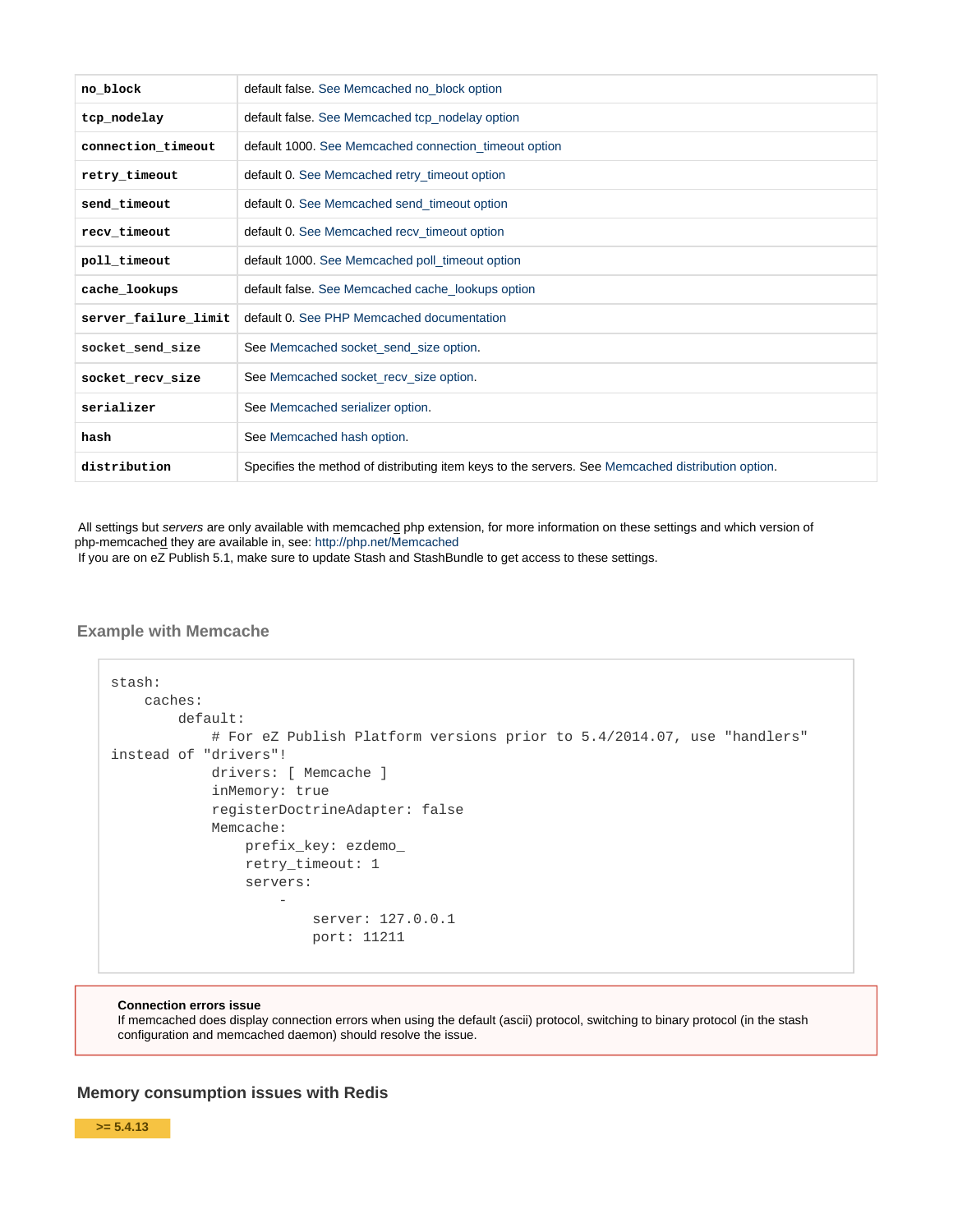| no block             | default false. See Memcached no_block option                                                      |
|----------------------|---------------------------------------------------------------------------------------------------|
| tcp nodelay          | default false. See Memcached tcp_nodelay option                                                   |
| connection timeout   | default 1000. See Memcached connection_timeout option                                             |
| retry timeout        | default 0. See Memcached retry_timeout option                                                     |
| send timeout         | default 0. See Memcached send timeout option                                                      |
| recv timeout         | default 0. See Memcached recv_timeout option                                                      |
| poll timeout         | default 1000. See Memcached poll_timeout option                                                   |
| cache lookups        | default false. See Memcached cache_lookups option                                                 |
| server_failure_limit | default 0. See PHP Memcached documentation                                                        |
| socket_send_size     | See Memcached socket_send_size option.                                                            |
| socket_recv_size     | See Memcached socket_recv_size option.                                                            |
| serializer           | See Memcached serializer option.                                                                  |
| hash                 | See Memcached hash option.                                                                        |
| distribution         | Specifies the method of distributing item keys to the servers. See Memcached distribution option. |

All settings but servers are only available with memcached php extension, for more information on these settings and which version of php-memcached they are available in, see: <http://php.net/Memcached>

If you are on eZ Publish 5.1, make sure to update Stash and StashBundle to get access to these settings.

### <span id="page-4-0"></span>**Example with Memcache**

```
stash:
     caches:
           default:
                 # For eZ Publish Platform versions prior to 5.4/2014.07, use "handlers"
instead of "drivers"!
                 drivers: [ Memcache ]
                 inMemory: true
                 registerDoctrineAdapter: false
                 Memcache:
                      prefix_key: ezdemo_
                      retry_timeout: 1
                      servers:
- 1990 - 1990 - 1990 - 1990 - 1990 - 1990 - 1990 - 1990 - 1990 - 1990 - 1990 - 1990 - 1990 - 1990 - 1990 - 19
                                 server: 127.0.0.1
                                 port: 11211
```
#### **Connection errors issue**

If memcached does display connection errors when using the default (ascii) protocol, switching to binary protocol (in the stash configuration and memcached daemon) should resolve the issue.

## <span id="page-4-1"></span>**Memory consumption issues with Redis**